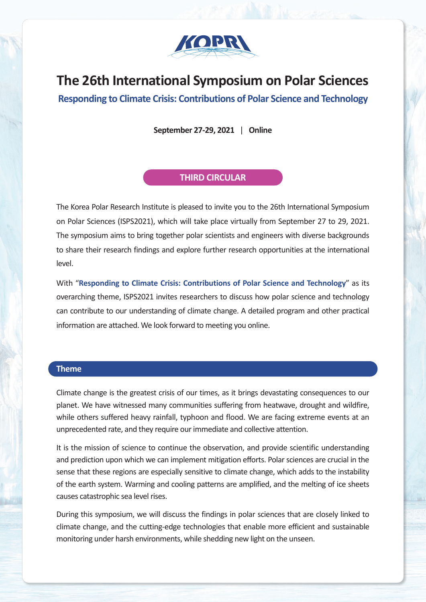

# **The 26th International Symposium on Polar Sciences**

**Responding to Climate Crisis: Contributions of Polar Science and Technology**

**September 27-29, 2021** | **Online**

### **THIRD CIRCULAR**

The Korea Polar Research Institute is pleased to invite you to the 26th International Symposium on Polar Sciences (ISPS2021), which will take place virtually from September 27 to 29, 2021. The symposium aims to bring together polar scientists and engineers with diverse backgrounds to share their research findings and explore further research opportunities at the international level.

With "**Responding to Climate Crisis: Contributions of Polar Science and Technology**" as its overarching theme, ISPS2021 invites researchers to discuss how polar science and technology can contribute to our understanding of climate change. A detailed program and other practical information are attached. We look forward to meeting you online.

### **Theme**

Climate change is the greatest crisis of our times, as it brings devastating consequences to our planet. We have witnessed many communities suffering from heatwave, drought and wildfire, while others suffered heavy rainfall, typhoon and flood. We are facing extreme events at an unprecedented rate, and they require our immediate and collective attention.

It is the mission of science to continue the observation, and provide scientific understanding and prediction upon which we can implement mitigation efforts. Polar sciences are crucial in the sense that these regions are especially sensitive to climate change, which adds to the instability of the earth system. Warming and cooling patterns are amplified, and the melting of ice sheets causes catastrophic sea level rises.

During this symposium, we will discuss the findings in polar sciences that are closely linked to climate change, and the cutting-edge technologies that enable more efficient and sustainable monitoring under harsh environments, while shedding new light on the unseen.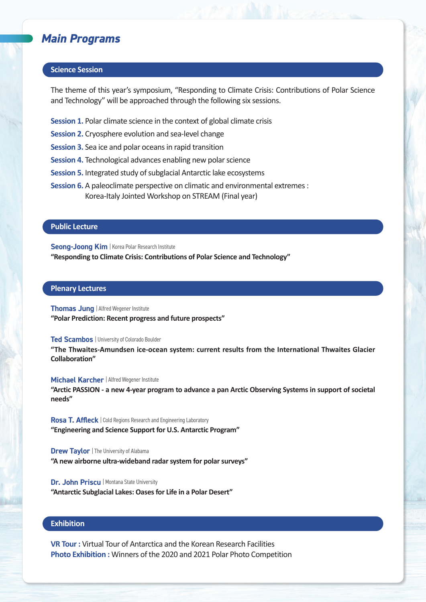### *Main Programs*

### **Science Session**

The theme of this year's symposium, "Responding to Climate Crisis: Contributions of Polar Science and Technology" will be approached through the following six sessions.

- **Session 1.** Polar climate science in the context of global climate crisis
- **Session 2.** Cryosphere evolution and sea-level change
- **Session 3.** Sea ice and polar oceans in rapid transition
- **Session 4.** Technological advances enabling new polar science
- **Session 5.** Integrated study of subglacial Antarctic lake ecosystems
- **Session 6.** A paleoclimate perspective on climatic and environmental extremes : Korea-Italy Jointed Workshop on STREAM (Final year)

#### **Public Lecture**

**Seong-Joong Kim | Korea Polar Research Institute** 

**"Responding to Climate Crisis: Contributions of Polar Science and Technology"**

#### **Plenary Lectures**

#### **Thomas Jung** | Alfred Wegener Institute

**"Polar Prediction: Recent progress and future prospects"**

#### **Ted Scambos | University of Colorado Boulder**

**"The Thwaites-Amundsen ice-ocean system: current results from the International Thwaites Glacier Collaboration"**

#### **Michael Karcher** | Alfred Wegener Institute

**"Arctic PASSION - a new 4-year program to advance a pan Arctic Observing Systems in support of societal needs"**

**Rosa T. Affleck** | Cold Regions Research and Engineering Laboratory **"Engineering and Science Support for U.S. Antarctic Program"**

**Drew Taylor | The University of Alabama "A new airborne ultra-wideband radar system for polar surveys"**

**Dr. John Priscu | Montana State University "Antarctic Subglacial Lakes: Oases for Life in a Polar Desert"**

#### **Exhibition**

**VR Tour :** Virtual Tour of Antarctica and the Korean Research Facilities **Photo Exhibition :** Winners of the 2020 and 2021 Polar Photo Competition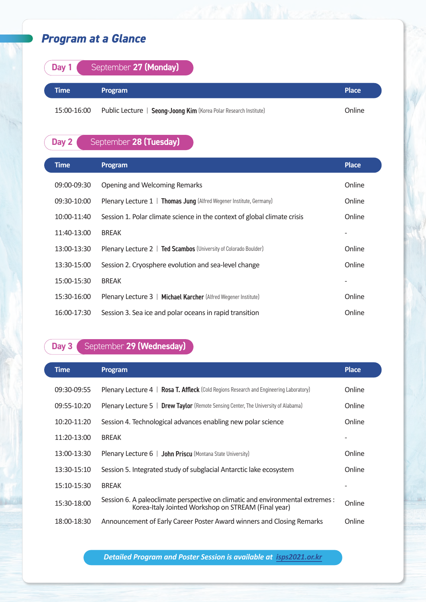# *Program at a Glance*

| Day 1       | September 27 (Monday)                                             |              |
|-------------|-------------------------------------------------------------------|--------------|
| Time        | Program                                                           | <b>Place</b> |
| 15:00-16:00 | Public Lecture   Seong-Joong Kim (Korea Polar Research Institute) | Online       |

# **Day 2** September 28 (Tuesday)

| <b>Time</b> | Program                                                                  | <b>Place</b> |
|-------------|--------------------------------------------------------------------------|--------------|
| 09:00-09:30 | Opening and Welcoming Remarks                                            | Online       |
| 09:30-10:00 | Plenary Lecture 1   Thomas Jung (Alfred Wegener Institute, Germany)      | Online       |
| 10:00-11:40 | Session 1. Polar climate science in the context of global climate crisis | Online       |
| 11:40-13:00 | <b>BREAK</b>                                                             |              |
| 13:00-13:30 | Plenary Lecture 2   Ted Scambos (University of Colorado Boulder)         | Online       |
| 13:30-15:00 | Session 2. Cryosphere evolution and sea-level change                     | Online       |
| 15:00-15:30 | <b>BREAK</b>                                                             |              |
| 15:30-16:00 | Plenary Lecture 3   Michael Karcher (Alfred Wegener Institute)           | Online       |
| 16:00-17:30 | Session 3. Sea ice and polar oceans in rapid transition                  | Online       |

# **Day 3** September 29 (Wednesday)

| <b>Time</b> | Program                                                                                                                               | <b>Place</b> |
|-------------|---------------------------------------------------------------------------------------------------------------------------------------|--------------|
| 09:30-09:55 | <b>Plenary Lecture 4</b>   <b>Rosa T. Affleck</b> (Cold Regions Research and Engineering Laboratory)                                  | Online       |
| 09:55-10:20 | Plenary Lecture 5   Drew Taylor (Remote Sensing Center, The University of Alabama)                                                    | Online       |
| 10:20-11:20 | Session 4. Technological advances enabling new polar science                                                                          | Online       |
| 11:20-13:00 | <b>BREAK</b>                                                                                                                          |              |
| 13:00-13:30 | <b>Plenary Lecture 6   John Priscu</b> (Montana State University)                                                                     | Online       |
| 13:30-15:10 | Session 5. Integrated study of subglacial Antarctic lake ecosystem                                                                    | Online       |
| 15:10-15:30 | <b>BREAK</b>                                                                                                                          |              |
| 15:30-18:00 | Session 6. A paleoclimate perspective on climatic and environmental extremes :<br>Korea-Italy Jointed Workshop on STREAM (Final year) | Online       |
| 18:00-18:30 | Announcement of Early Career Poster Award winners and Closing Remarks                                                                 | Online       |

*Detailed Program and Poster Session is available at [isps2021.or.kr](https://isps2021.or.kr)*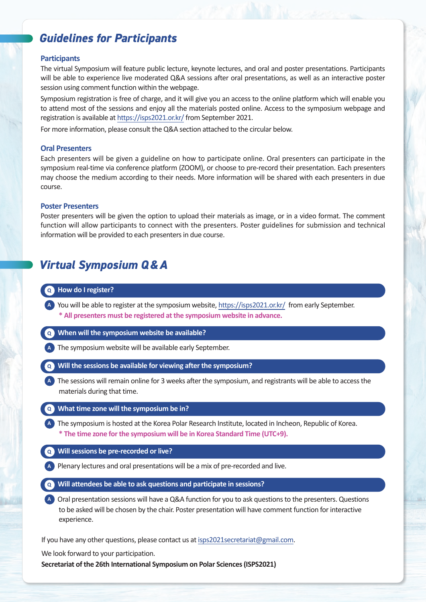# *Guidelines for Participants*

#### **Participants**

The virtual Symposium will feature public lecture, keynote lectures, and oral and poster presentations. Participants will be able to experience live moderated Q&A sessions after oral presentations, as well as an interactive poster session using comment function within the webpage.

Symposium registration is free of charge, and it will give you an access to the online platform which will enable you to attend most of the sessions and enjoy all the materials posted online. Access to the symposium webpage and registration is available at [https://isps2021.or.kr/](https://isps2021.or.kr) from September 2021.

For more information, please consult the Q&A section attached to the circular below.

#### **Oral Presenters**

Each presenters will be given a guideline on how to participate online. Oral presenters can participate in the symposium real-time via conference platform (ZOOM), or choose to pre-record their presentation. Each presenters may choose the medium according to their needs. More information will be shared with each presenters in due course.

#### **Poster Presenters**

Poster presenters will be given the option to upload their materials as image, or in a video format. The comment function will allow participants to connect with the presenters. Poster guidelines for submission and technical information will be provided to each presenters in due course.

## *Virtual Symposium Q&A*

#### **Q How do I register?**

**A** You will be able to register at the symposium website, [https://isps2021.or.kr/](https://isps2021.or.kr) from early September. **\* All presenters must be registered at the symposium website in advance.**

**Q When will the symposium website be available?**

**A** The symposium website will be available early September.

- **Q Will the sessions be available for viewing after the symposium?**
- **A** The sessions will remain online for 3 weeks after the symposium, and registrants will be able to access the materials during that time.

#### **Q What time zone will the symposium be in?**

**A** The symposium is hosted at the Korea Polar Research Institute, located in Incheon, Republic of Korea. **\* The time zone for the symposium will be in Korea Standard Time (UTC+9).**

- **Q Will sessions be pre-recorded or live?**
- **A** Plenary lectures and oral presentations will be a mix of pre-recorded and live.
- **Q Will attendees be able to ask questions and participate in sessions?**

**A** Oral presentation sessions will have a Q&A function for you to ask questions to the presenters. Questions to be asked will be chosen by the chair. Poster presentation will have comment function for interactive experience.

If you have any other questions, please contact us at [isps2021secretariat@gmail.com](mailto:isps2021secretariat@gmail.com).

We look forward to your participation.

**Secretariat of the 26th International Symposium on Polar Sciences (ISPS2021)**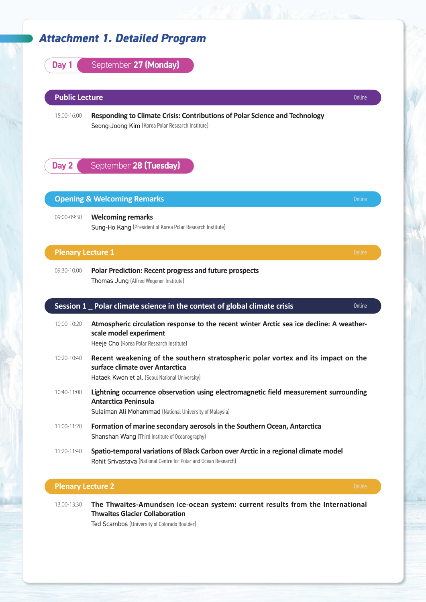### *Attachment 1. Detailed Program*



**Thwaites Glacier Collaboration**

Ted Scambos (University of Colorado Boulder)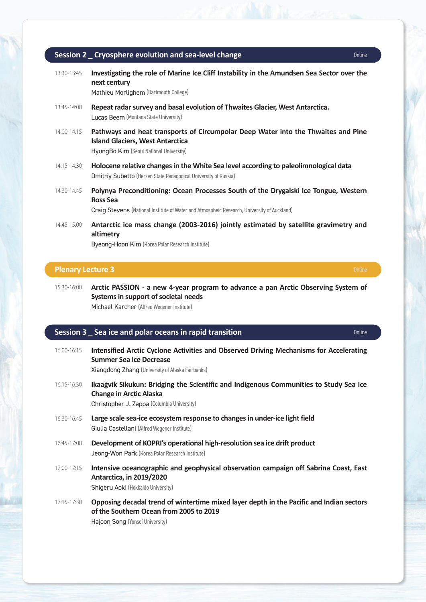|                 | Session 2 _ Cryosphere evolution and sea-level change<br>Online                                                                                                                                |
|-----------------|------------------------------------------------------------------------------------------------------------------------------------------------------------------------------------------------|
| 13:30-13:45     | Investigating the role of Marine Ice Cliff Instability in the Amundsen Sea Sector over the<br>next century<br>Mathieu Morlighem (Dartmouth College)                                            |
| $13:45-14:00$   | Repeat radar survey and basal evolution of Thwaites Glacier, West Antarctica.<br>Lucas Beem (Montana State University)                                                                         |
| 14:00-14:15     | Pathways and heat transports of Circumpolar Deep Water into the Thwaites and Pine<br><b>Island Glaciers, West Antarctica</b><br>HyungBo Kim (Seoul National University)                        |
| 14:15-14:30     | Holocene relative changes in the White Sea level according to paleolimnological data<br><b>Dmitriy Subetto</b> (Herzen State Pedagogical University of Russia)                                 |
| 14:30-14:45     | Polynya Preconditioning: Ocean Processes South of the Drygalski Ice Tongue, Western<br>Ross Sea<br>Craig Stevens (National Institute of Water and Atmospheic Research, University of Auckland) |
| $14:45 - 15:00$ | Antarctic ice mass change (2003-2016) jointly estimated by satellite gravimetry and<br>altimetry<br>Byeong-Hoon Kim (Korea Polar Research Institute)                                           |

### **Plenary Lecture 3** Online and the contract of the contract of the contract of the contract of the contract of the contract of the contract of the contract of the contract of the contract of the contract of the contract of

15:30-16:00 **Arctic PASSION - a new 4-year program to advance a pan Arctic Observing System of Systems in support of societal needs** Michael Karcher (Alfred Wegener Institute)

### **Session 3 \_ Sea ice and polar oceans in rapid transition Session 3 \_ Sea ice and polar oceans in rapid transition**

| 16:00-16:15 | Intensified Arctic Cyclone Activities and Observed Driving Mechanisms for Accelerating<br><b>Summer Sea Ice Decrease</b><br>Xiangdong Zhang (University of Alaska Fairbanks) |
|-------------|------------------------------------------------------------------------------------------------------------------------------------------------------------------------------|
| 16:15-16:30 | Ikaagvik Sikukun: Bridging the Scientific and Indigenous Communities to Study Sea Ice<br><b>Change in Arctic Alaska</b><br>Christopher J. Zappa (Columbia University)        |
| 16:30-16:45 | Large scale sea-ice ecosystem response to changes in under-ice light field<br>Giulia Castellani (Alfred Wegener Institute)                                                   |
| 16:45-17:00 | Development of KOPRI's operational high-resolution sea ice drift product<br>Jeong-Won Park (Korea Polar Research Institute)                                                  |
| 17:00-17:15 | Intensive oceanographic and geophysical observation campaign off Sabrina Coast, East<br><b>Antarctica, in 2019/2020</b><br>Shigeru Aoki (Hokkaido University)                |
| 17:15-17:30 | Opposing decadal trend of wintertime mixed layer depth in the Pacific and Indian sectors<br>of the Southern Ocean from 2005 to 2019<br>Hajoon Song (Yonsei University)       |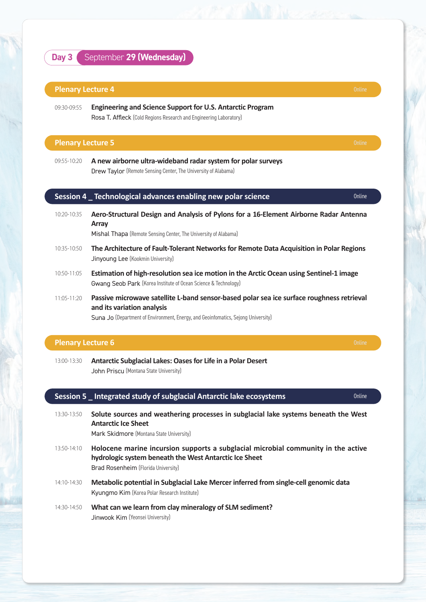### **Day 3** September 29 (Wednesday)

#### **Plenary Lecture 4** Online and Contract Contract Contract Contract Contract Contract Continued Continued Continued Continued Continued Continued Continued Continued Continued Continued Continued Continued Contract Contract

09:30-09:55 **Engineering and Science Support for U.S. Antarctic Program**  Rosa T. Affleck (Cold Regions Research and Engineering Laboratory)

#### **Plenary Lecture 5** Online and the contract of the contract of the contract of the contract of the contract of the contract of the contract of the contract of the contract of the contract of the contract of the contract of

09:55-10:20 **A new airborne ultra-wideband radar system for polar surveys** Drew Taylor (Remote Sensing Center, The University of Alabama)

#### **Session 4 Lechnological advances enabling new polar science** Dentes And The Online

10:20-10:35 **Aero-Structural Design and Analysis of Pylons for a 16-Element Airborne Radar Antenna Array**

Mishal Thapa (Remote Sensing Center, The University of Alabama)

- 10:35-10:50 **The Architecture of Fault-Tolerant Networks for Remote Data Acquisition in Polar Regions** Jinyoung Lee (Kookmin University)
- 10:50-11:05 **Estimation of high-resolution sea ice motion in the Arctic Ocean using Sentinel-1 image** Gwang Seob Park (Korea Institute of Ocean Science & Technology)
- 11:05-11:20 **Passive microwave satellite L-band sensor-based polar sea ice surface roughness retrieval and its variation analysis**

Suna Jo (Department of Environment, Energy, and Geoinfomatics, Sejong University)

#### **Plenary Lecture 6** Online and the contract of the contract of the contract of the contract of the contract of the contract of the contract of the contract of the contract of the contract of the contract of the contract of

13:00-13:30 **Antarctic Subglacial Lakes: Oases for Life in a Polar Desert** John Priscu (Montana State University)

#### **Session 5 Lintegrated study of subglacial Antarctic lake ecosystems Subsetimerry Conding Conline**

13:30-13:50 **Solute sources and weathering processes in subglacial lake systems beneath the West Antarctic Ice Sheet**

Mark Skidmore (Montana State University)

- 13:50-14:10 **Holocene marine incursion supports a subglacial microbial community in the active hydrologic system beneath the West Antarctic Ice Sheet** Brad Rosenheim (Florida University)
- 14:10-14:30 **Metabolic potential in Subglacial Lake Mercer inferred from single-cell genomic data** Kyungmo Kim (Korea Polar Research Institute)
- 14:30-14:50 **What can we learn from clay mineralogy of SLM sediment?** Jinwook Kim (Yeonsei University)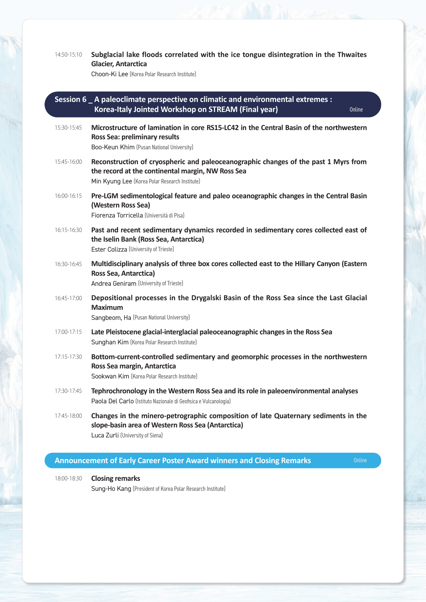| 14:50-15:10 | Subglacial lake floods correlated with the ice tongue disintegration in the Thwaites<br><b>Glacier, Antarctica</b><br>Choon-Ki Lee (Korea Polar Research Institute)                        |
|-------------|--------------------------------------------------------------------------------------------------------------------------------------------------------------------------------------------|
|             | Session 6 A paleoclimate perspective on climatic and environmental extremes :<br>Korea-Italy Jointed Workshop on STREAM (Final year)<br><b>Online</b>                                      |
| 15:30-15:45 | Microstructure of lamination in core RS15-LC42 in the Central Basin of the northwestern<br>Ross Sea: preliminary results<br>Boo-Keun Khim (Pusan National University)                      |
| 15:45-16:00 | Reconstruction of cryospheric and paleoceanographic changes of the past 1 Myrs from<br>the record at the continental margin, NW Ross Sea<br>Min Kyung Lee (Korea Polar Research Institute) |
| 16:00-16:15 | Pre-LGM sedimentological feature and paleo oceanographic changes in the Central Basin<br>(Western Ross Sea)<br>Fiorenza Torricella (Università di Pisa)                                    |
| 16:15-16:30 | Past and recent sedimentary dynamics recorded in sedimentary cores collected east of<br>the Iselin Bank (Ross Sea, Antarctica)<br>Ester Colizza (University of Trieste)                    |
| 16:30-16:45 | Multidisciplinary analysis of three box cores collected east to the Hillary Canyon (Eastern<br>Ross Sea, Antarctica)<br>Andrea Geniram (University of Trieste)                             |
| 16:45-17:00 | Depositional processes in the Drygalski Basin of the Ross Sea since the Last Glacial<br><b>Maximum</b><br>Sangbeom, Ha (Pusan National University)                                         |
| 17:00-17:15 | Late Pleistocene glacial-interglacial paleoceanographic changes in the Ross Sea<br>Sunghan Kim (Korea Polar Research Institute)                                                            |
| 17:15-17:30 | Bottom-current-controlled sedimentary and geomorphic processes in the northwestern<br>Ross Sea margin, Antarctica<br>Sookwan Kim (Korea Polar Research Institute)                          |
| 17:30-17:45 | Tephrochronology in the Western Ross Sea and its role in paleoenvironmental analyses<br>Paola Del Carlo (Istituto Nazionale di Geofisica e Vulcanologia)                                   |
| 17:45-18:00 | Changes in the minero-petrographic composition of late Quaternary sediments in the<br>slope-basin area of Western Ross Sea (Antarctica)<br>Luca Zurli (University of Siena)                |

## **Announcement of Early Career Poster Award winners and Closing Remarks Conding American Conding American**

18:00-18:30 **Closing remarks** Sung-Ho Kang (President of Korea Polar Research Institute)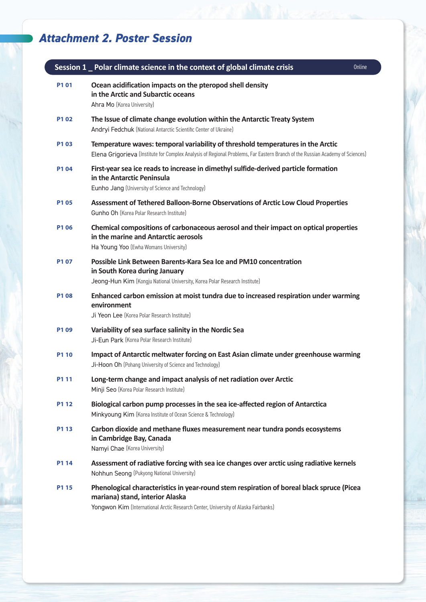# *Attachment 2. Poster Session*

|       | Session 1 Polar climate science in the context of global climate crisis<br>Online                                                                                                                                  |  |
|-------|--------------------------------------------------------------------------------------------------------------------------------------------------------------------------------------------------------------------|--|
| P101  | Ocean acidification impacts on the pteropod shell density<br>in the Arctic and Subarctic oceans<br>Ahra Mo (Korea University)                                                                                      |  |
| P102  | The Issue of climate change evolution within the Antarctic Treaty System<br>Andryi Fedchuk (National Antarctic Scientific Center of Ukraine)                                                                       |  |
| P103  | Temperature waves: temporal variability of threshold temperatures in the Arctic<br>Elena Grigorieva (Institute for Complex Analysis of Regional Problems, Far Eastern Branch of the Russian Academy of Sciences)   |  |
| P104  | First-year sea ice reads to increase in dimethyl sulfide-derived particle formation<br>in the Antarctic Peninsula<br>Eunho Jang (University of Science and Technology)                                             |  |
| P105  | Assessment of Tethered Balloon-Borne Observations of Arctic Low Cloud Properties<br><b>Gunho Oh (Korea Polar Research Institute)</b>                                                                               |  |
| P106  | Chemical compositions of carbonaceous aerosol and their impact on optical properties<br>in the marine and Antarctic aerosols<br>Ha Young Yoo (Ewha Womans University)                                              |  |
| P107  | Possible Link Between Barents-Kara Sea Ice and PM10 concentration<br>in South Korea during January<br>Jeong-Hun Kim (Kongju National University, Korea Polar Research Institute)                                   |  |
| P108  | Enhanced carbon emission at moist tundra due to increased respiration under warming<br>environment<br>Ji Yeon Lee (Korea Polar Research Institute)                                                                 |  |
| P109  | Variability of sea surface salinity in the Nordic Sea<br>Ji-Eun Park (Korea Polar Research Institute)                                                                                                              |  |
| P1 10 | Impact of Antarctic meltwater forcing on East Asian climate under greenhouse warming<br>Ji-Hoon Oh (Pohang University of Science and Technology)                                                                   |  |
| P1 11 | Long-term change and impact analysis of net radiation over Arctic<br>Minji Seo (Korea Polar Research Institute)                                                                                                    |  |
| P1 12 | Biological carbon pump processes in the sea ice-affected region of Antarctica<br>Minkyoung Kim (Korea Institute of Ocean Science & Technology)                                                                     |  |
| P1 13 | Carbon dioxide and methane fluxes measurement near tundra ponds ecosystems<br>in Cambridge Bay, Canada<br>Namyi Chae (Korea University)                                                                            |  |
| P1 14 | Assessment of radiative forcing with sea ice changes over arctic using radiative kernels<br>Nohhun Seong (Pukyong National University)                                                                             |  |
| P1 15 | Phenological characteristics in year-round stem respiration of boreal black spruce (Picea<br>mariana) stand, interior Alaska<br>Yongwon Kim (International Arctic Research Center, University of Alaska Fairbanks) |  |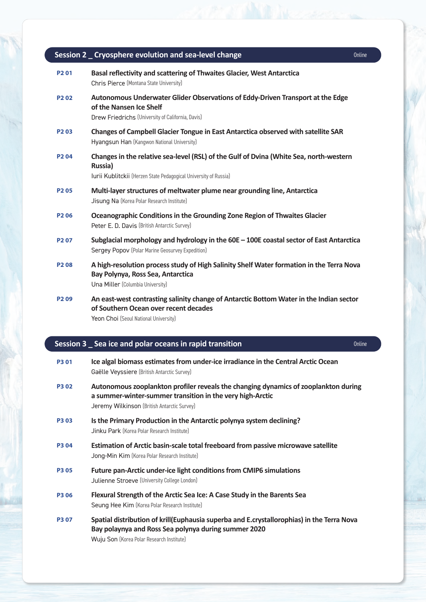|                               | Session 2 _ Cryosphere evolution and sea-level change                                                                                                                         | Online |
|-------------------------------|-------------------------------------------------------------------------------------------------------------------------------------------------------------------------------|--------|
| P <sub>2</sub> 01             | Basal reflectivity and scattering of Thwaites Glacier, West Antarctica<br>Chris Pierce (Montana State University)                                                             |        |
| P <sub>2</sub> 0 <sub>2</sub> | Autonomous Underwater Glider Observations of Eddy-Driven Transport at the Edge<br>of the Nansen Ice Shelf<br>Drew Friedrichs (University of California, Davis)                |        |
| P <sub>203</sub>              | Changes of Campbell Glacier Tongue in East Antarctica observed with satellite SAR<br>Hyangsun Han (Kangwon National University)                                               |        |
| P <sub>204</sub>              | Changes in the relative sea-level (RSL) of the Gulf of Dvina (White Sea, north-western<br><b>Russia</b> )<br>Iurii Kublitckii (Herzen State Pedagogical University of Russia) |        |
| P <sub>205</sub>              | Multi-layer structures of meltwater plume near grounding line, Antarctica<br>Jisung Na (Korea Polar Research Institute)                                                       |        |
| P <sub>206</sub>              | Oceanographic Conditions in the Grounding Zone Region of Thwaites Glacier<br>Peter E. D. Davis (British Antarctic Survey)                                                     |        |
| P <sub>2</sub> 07             | Subglacial morphology and hydrology in the $60E - 100E$ coastal sector of East Antarctica<br>Sergey Popov (Polar Marine Geosurvey Expedition)                                 |        |
| P <sub>208</sub>              | A high-resolution process study of High Salinity Shelf Water formation in the Terra Nova<br>Bay Polynya, Ross Sea, Antarctica<br>Una Miller (Columbia University)             |        |
| P <sub>209</sub>              | An east-west contrasting salinity change of Antarctic Bottom Water in the Indian sector<br>of Southern Ocean over recent decades<br>Yeon Choi (Seoul National University)     |        |

#### **Session 3 \_ Sea ice and polar oceans in rapid transition CONCERN CONCERN CONLINE**

| <b>P301</b> | Ice algal biomass estimates from under-ice irradiance in the Central Arctic Ocean |
|-------------|-----------------------------------------------------------------------------------|
|             | <b>Gaëlle Veyssiere</b> (British Antarctic Survey)                                |

- **P3 02 Autonomous zooplankton profiler reveals the changing dynamics of zooplankton during a summer-winter-summer transition in the very high-Arctic** Jeremy Wilkinson (British Antarctic Survey)
- **P3 03 Is the Primary Production in the Antarctic polynya system declining?** Jinku Park (Korea Polar Research Institute)
- **P3 04 Estimation of Arctic basin-scale total freeboard from passive microwave satellite** Jong-Min Kim (Korea Polar Research Institute)
- **P3 05 Future pan-Arctic under-ice light conditions from CMIP6 simulations** Julienne Stroeve (University College London)
- **P3 06 Flexural Strength of the Arctic Sea Ice: A Case Study in the Barents Sea** Seung Hee Kim (Korea Polar Research Institute)
- **P3 07 Spatial distribution of krill(Euphausia superba and E.crystallorophias) in the Terra Nova Bay polaynya and Ross Sea polynya during summer 2020** Wuju Son (Korea Polar Research Institute)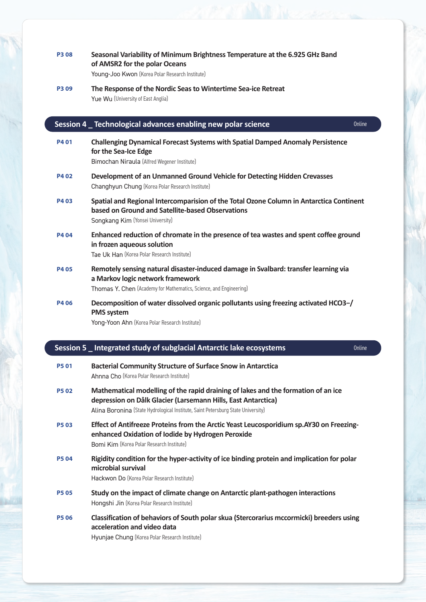### **P3 08 Seasonal Variability of Minimum Brightness Temperature at the 6.925 GHz Band of AMSR2 for the polar Oceans** Young-Joo Kwon (Korea Polar Research Institute)

**P3 09 The Response of the Nordic Seas to Wintertime Sea-ice Retreat** Yue Wu (University of East Anglia)

#### **Session 4 \_ Technological advances enabling new polar science** and the continuation online

| P4 01       | <b>Challenging Dynamical Forecast Systems with Spatial Damped Anomaly Persistence</b><br>for the Sea-Ice Edge<br>Bimochan Niraula (Alfred Wegener Institute)                    |
|-------------|---------------------------------------------------------------------------------------------------------------------------------------------------------------------------------|
| P4 02       | Development of an Unmanned Ground Vehicle for Detecting Hidden Crevasses<br><b>Changhyun Chung</b> (Korea Polar Research Institute)                                             |
| P403        | Spatial and Regional Intercomparision of the Total Ozone Column in Antarctica Continent<br>based on Ground and Satellite-based Observations<br>Songkang Kim (Yonsei University) |
| <b>P404</b> | Enhanced reduction of chromate in the presence of tea wastes and spent coffee ground<br>in frozen aqueous solution<br>Tae Uk Han (Korea Polar Research Institute)               |
| P4 05       | Remotely sensing natural disaster-induced damage in Svalbard: transfer learning via                                                                                             |

**a Markov logic network framework**

Thomas Y. Chen (Academy for Mathematics, Science, and Engineering)

**P4 06 Decomposition of water dissolved organic pollutants using freezing activated HCO3−/ PMS system**

Yong-Yoon Ahn (Korea Polar Research Institute)

### **Session 5 Integrated study of subglacial Antarctic lake ecosystems Conditional Antarctic lake existence Condition**

### **P5 01 Bacterial Community Structure of Surface Snow in Antarctica** Ahnna Cho (Korea Polar Research Institute)

- **P5 02 Mathematical modelling of the rapid draining of lakes and the formation of an ice depression on Dålk Glacier (Larsemann Hills, East Antarctica)** Alina Boronina (State Hydrological Institute, Saint Petersburg State University)
- **P5 03 Effect of Antifreeze Proteins from the Arctic Yeast Leucosporidium sp.AY30 on Freezingenhanced Oxidation of Iodide by Hydrogen Peroxide** Bomi Kim (Korea Polar Research Institute)
- **P5 04 Rigidity condition for the hyper-activity of ice binding protein and implication for polar microbial survival**

Hackwon Do (Korea Polar Research Institute)

- **P5 05 Study on the impact of climate change on Antarctic plant-pathogen interactions** Hongshi Jin (Korea Polar Research Institute)
- **P5 06 Classification of behaviors of South polar skua (Stercorarius mccormicki) breeders using acceleration and video data**

Hyunjae Chung (Korea Polar Research Institute)